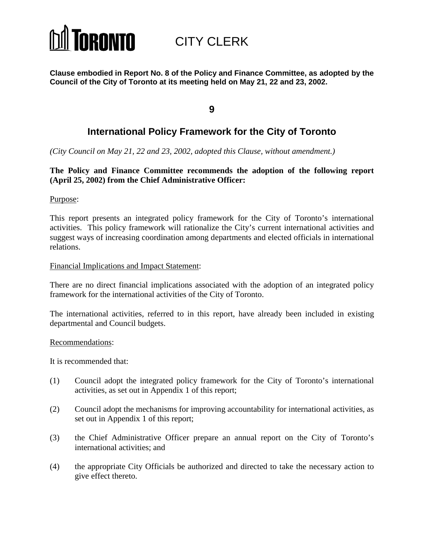

CITY CLERK

**Clause embodied in Report No. 8 of the Policy and Finance Committee, as adopted by the Council of the City of Toronto at its meeting held on May 21, 22 and 23, 2002.**

**9**

# **International Policy Framework for the City of Toronto**

*(City Council on May 21, 22 and 23, 2002, adopted this Clause, without amendment.)*

### **The Policy and Finance Committee recommends the adoption of the following report (April 25, 2002) from the Chief Administrative Officer:**

Purpose:

This report presents an integrated policy framework for the City of Toronto's international activities. This policy framework will rationalize the City's current international activities and suggest ways of increasing coordination among departments and elected officials in international relations.

#### Financial Implications and Impact Statement:

There are no direct financial implications associated with the adoption of an integrated policy framework for the international activities of the City of Toronto.

The international activities, referred to in this report, have already been included in existing departmental and Council budgets.

#### Recommendations:

It is recommended that:

- (1) Council adopt the integrated policy framework for the City of Toronto's international activities, as set out in Appendix 1 of this report;
- (2) Council adopt the mechanisms for improving accountability for international activities, as set out in Appendix 1 of this report;
- (3) the Chief Administrative Officer prepare an annual report on the City of Toronto's international activities; and
- (4) the appropriate City Officials be authorized and directed to take the necessary action to give effect thereto.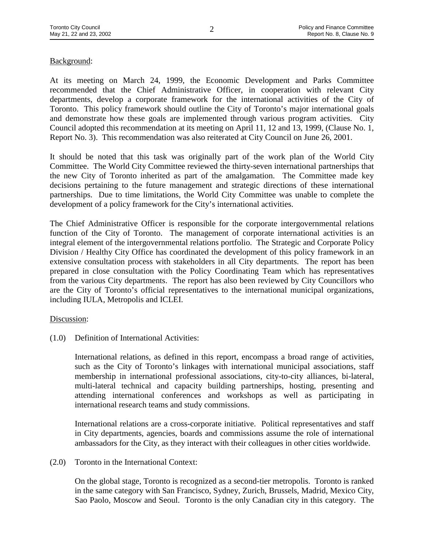# Background:

At its meeting on March 24, 1999, the Economic Development and Parks Committee recommended that the Chief Administrative Officer, in cooperation with relevant City departments, develop a corporate framework for the international activities of the City of Toronto. This policy framework should outline the City of Toronto's major international goals and demonstrate how these goals are implemented through various program activities. City Council adopted this recommendation at its meeting on April 11, 12 and 13, 1999, (Clause No. 1, Report No. 3). This recommendation was also reiterated at City Council on June 26, 2001.

It should be noted that this task was originally part of the work plan of the World City Committee. The World City Committee reviewed the thirty-seven international partnerships that the new City of Toronto inherited as part of the amalgamation. The Committee made key decisions pertaining to the future management and strategic directions of these international partnerships. Due to time limitations, the World City Committee was unable to complete the development of a policy framework for the City's international activities.

The Chief Administrative Officer is responsible for the corporate intergovernmental relations function of the City of Toronto. The management of corporate international activities is an integral element of the intergovernmental relations portfolio. The Strategic and Corporate Policy Division / Healthy City Office has coordinated the development of this policy framework in an extensive consultation process with stakeholders in all City departments. The report has been prepared in close consultation with the Policy Coordinating Team which has representatives from the various City departments. The report has also been reviewed by City Councillors who are the City of Toronto's official representatives to the international municipal organizations, including IULA, Metropolis and ICLEI.

#### Discussion:

(1.0) Definition of International Activities:

International relations, as defined in this report, encompass a broad range of activities, such as the City of Toronto's linkages with international municipal associations, staff membership in international professional associations, city-to-city alliances, bi-lateral, multi-lateral technical and capacity building partnerships, hosting, presenting and attending international conferences and workshops as well as participating in international research teams and study commissions.

International relations are a cross-corporate initiative. Political representatives and staff in City departments, agencies, boards and commissions assume the role of international ambassadors for the City, as they interact with their colleagues in other cities worldwide.

#### (2.0) Toronto in the International Context:

On the global stage, Toronto is recognized as a second-tier metropolis. Toronto is ranked in the same category with San Francisco, Sydney, Zurich, Brussels, Madrid, Mexico City, Sao Paolo, Moscow and Seoul. Toronto is the only Canadian city in this category. The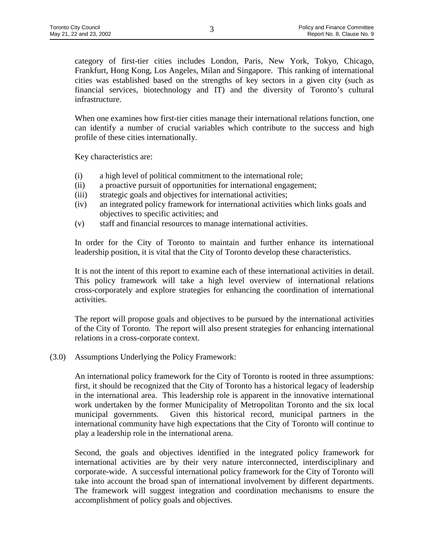category of first-tier cities includes London, Paris, New York, Tokyo, Chicago, Frankfurt, Hong Kong, Los Angeles, Milan and Singapore. This ranking of international cities was established based on the strengths of key sectors in a given city (such as financial services, biotechnology and IT) and the diversity of Toronto's cultural infrastructure.

When one examines how first-tier cities manage their international relations function, one can identify a number of crucial variables which contribute to the success and high profile of these cities internationally.

Key characteristics are:

- (i) a high level of political commitment to the international role;
- (ii) a proactive pursuit of opportunities for international engagement;
- (iii) strategic goals and objectives for international activities;
- (iv) an integrated policy framework for international activities which links goals and objectives to specific activities; and
- (v) staff and financial resources to manage international activities.

In order for the City of Toronto to maintain and further enhance its international leadership position, it is vital that the City of Toronto develop these characteristics.

It is not the intent of this report to examine each of these international activities in detail. This policy framework will take a high level overview of international relations cross-corporately and explore strategies for enhancing the coordination of international activities.

The report will propose goals and objectives to be pursued by the international activities of the City of Toronto. The report will also present strategies for enhancing international relations in a cross-corporate context.

(3.0) Assumptions Underlying the Policy Framework:

An international policy framework for the City of Toronto is rooted in three assumptions: first, it should be recognized that the City of Toronto has a historical legacy of leadership in the international area. This leadership role is apparent in the innovative international work undertaken by the former Municipality of Metropolitan Toronto and the six local municipal governments. Given this historical record, municipal partners in the international community have high expectations that the City of Toronto will continue to play a leadership role in the international arena.

Second, the goals and objectives identified in the integrated policy framework for international activities are by their very nature interconnected, interdisciplinary and corporate-wide. A successful international policy framework for the City of Toronto will take into account the broad span of international involvement by different departments. The framework will suggest integration and coordination mechanisms to ensure the accomplishment of policy goals and objectives.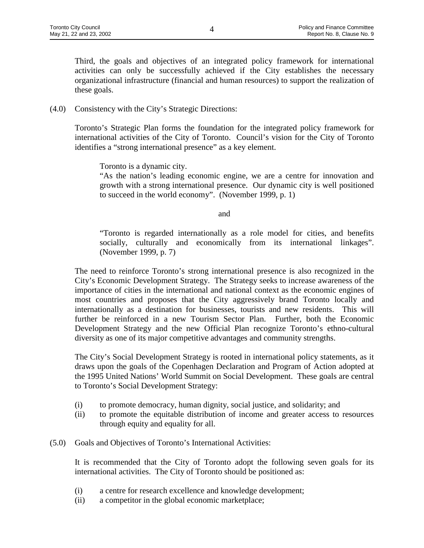Third, the goals and objectives of an integrated policy framework for international activities can only be successfully achieved if the City establishes the necessary organizational infrastructure (financial and human resources) to support the realization of these goals.

(4.0) Consistency with the City's Strategic Directions:

Toronto's Strategic Plan forms the foundation for the integrated policy framework for international activities of the City of Toronto. Council's vision for the City of Toronto identifies a "strong international presence" as a key element.

Toronto is a dynamic city.

"As the nation's leading economic engine, we are a centre for innovation and growth with a strong international presence. Our dynamic city is well positioned to succeed in the world economy". (November 1999, p. 1)

and

"Toronto is regarded internationally as a role model for cities, and benefits socially, culturally and economically from its international linkages". (November 1999, p. 7)

The need to reinforce Toronto's strong international presence is also recognized in the City's Economic Development Strategy. The Strategy seeks to increase awareness of the importance of cities in the international and national context as the economic engines of most countries and proposes that the City aggressively brand Toronto locally and internationally as a destination for businesses, tourists and new residents. This will further be reinforced in a new Tourism Sector Plan. Further, both the Economic Development Strategy and the new Official Plan recognize Toronto's ethno-cultural diversity as one of its major competitive advantages and community strengths.

The City's Social Development Strategy is rooted in international policy statements, as it draws upon the goals of the Copenhagen Declaration and Program of Action adopted at the 1995 United Nations' World Summit on Social Development. These goals are central to Toronto's Social Development Strategy:

- (i) to promote democracy, human dignity, social justice, and solidarity; and
- (ii) to promote the equitable distribution of income and greater access to resources through equity and equality for all.
- (5.0) Goals and Objectives of Toronto's International Activities:

It is recommended that the City of Toronto adopt the following seven goals for its international activities. The City of Toronto should be positioned as:

- (i) a centre for research excellence and knowledge development;
- (ii) a competitor in the global economic marketplace;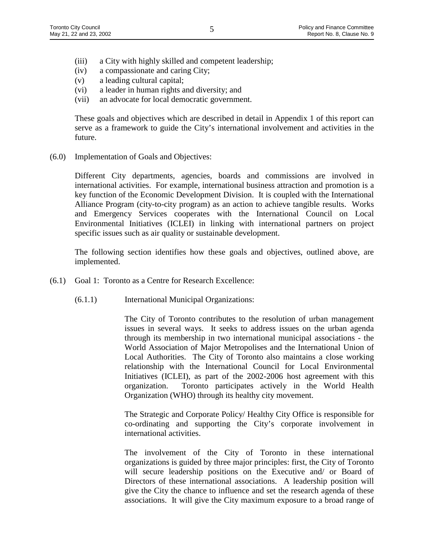- (iii) a City with highly skilled and competent leadership;
- (iv) a compassionate and caring City;
- (v) a leading cultural capital;
- (vi) a leader in human rights and diversity; and
- (vii) an advocate for local democratic government.

These goals and objectives which are described in detail in Appendix 1 of this report can serve as a framework to guide the City's international involvement and activities in the future.

(6.0) Implementation of Goals and Objectives:

Different City departments, agencies, boards and commissions are involved in international activities. For example, international business attraction and promotion is a key function of the Economic Development Division. It is coupled with the International Alliance Program (city-to-city program) as an action to achieve tangible results. Works and Emergency Services cooperates with the International Council on Local Environmental Initiatives (ICLEI) in linking with international partners on project specific issues such as air quality or sustainable development.

The following section identifies how these goals and objectives, outlined above, are implemented.

- (6.1) Goal 1: Toronto as a Centre for Research Excellence:
	- (6.1.1) International Municipal Organizations:

The City of Toronto contributes to the resolution of urban management issues in several ways. It seeks to address issues on the urban agenda through its membership in two international municipal associations - the World Association of Major Metropolises and the International Union of Local Authorities. The City of Toronto also maintains a close working relationship with the International Council for Local Environmental Initiatives (ICLEI), as part of the 2002-2006 host agreement with this organization. Toronto participates actively in the World Health Organization (WHO) through its healthy city movement.

The Strategic and Corporate Policy/ Healthy City Office is responsible for co-ordinating and supporting the City's corporate involvement in international activities.

The involvement of the City of Toronto in these international organizations is guided by three major principles: first, the City of Toronto will secure leadership positions on the Executive and/ or Board of Directors of these international associations. A leadership position will give the City the chance to influence and set the research agenda of these associations. It will give the City maximum exposure to a broad range of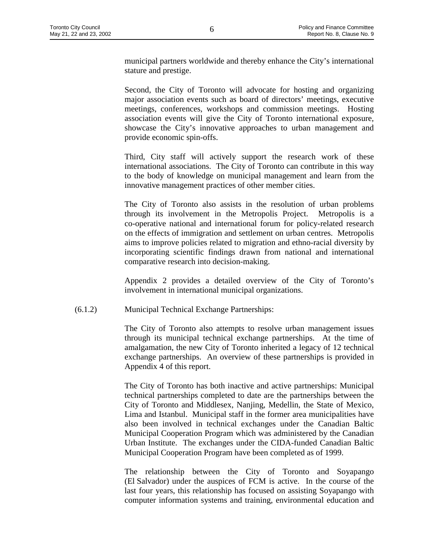municipal partners worldwide and thereby enhance the City's international stature and prestige.

Second, the City of Toronto will advocate for hosting and organizing major association events such as board of directors' meetings, executive meetings, conferences, workshops and commission meetings. Hosting association events will give the City of Toronto international exposure, showcase the City's innovative approaches to urban management and provide economic spin-offs.

Third, City staff will actively support the research work of these international associations. The City of Toronto can contribute in this way to the body of knowledge on municipal management and learn from the innovative management practices of other member cities.

The City of Toronto also assists in the resolution of urban problems through its involvement in the Metropolis Project. Metropolis is a co-operative national and international forum for policy-related research on the effects of immigration and settlement on urban centres. Metropolis aims to improve policies related to migration and ethno-racial diversity by incorporating scientific findings drawn from national and international comparative research into decision-making.

Appendix 2 provides a detailed overview of the City of Toronto's involvement in international municipal organizations.

#### (6.1.2) Municipal Technical Exchange Partnerships:

The City of Toronto also attempts to resolve urban management issues through its municipal technical exchange partnerships. At the time of amalgamation, the new City of Toronto inherited a legacy of 12 technical exchange partnerships. An overview of these partnerships is provided in Appendix 4 of this report.

The City of Toronto has both inactive and active partnerships: Municipal technical partnerships completed to date are the partnerships between the City of Toronto and Middlesex, Nanjing, Medellin, the State of Mexico, Lima and Istanbul. Municipal staff in the former area municipalities have also been involved in technical exchanges under the Canadian Baltic Municipal Cooperation Program which was administered by the Canadian Urban Institute. The exchanges under the CIDA-funded Canadian Baltic Municipal Cooperation Program have been completed as of 1999.

The relationship between the City of Toronto and Soyapango (El Salvador) under the auspices of FCM is active. In the course of the last four years, this relationship has focused on assisting Soyapango with computer information systems and training, environmental education and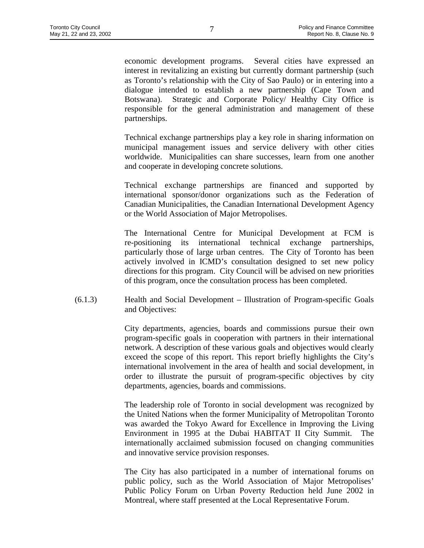economic development programs. Several cities have expressed an interest in revitalizing an existing but currently dormant partnership (such as Toronto's relationship with the City of Sao Paulo) or in entering into a dialogue intended to establish a new partnership (Cape Town and Botswana). Strategic and Corporate Policy/ Healthy City Office is responsible for the general administration and management of these partnerships.

Technical exchange partnerships play a key role in sharing information on municipal management issues and service delivery with other cities worldwide. Municipalities can share successes, learn from one another and cooperate in developing concrete solutions.

Technical exchange partnerships are financed and supported by international sponsor/donor organizations such as the Federation of Canadian Municipalities, the Canadian International Development Agency or the World Association of Major Metropolises.

The International Centre for Municipal Development at FCM is re-positioning its international technical exchange partnerships, particularly those of large urban centres. The City of Toronto has been actively involved in ICMD's consultation designed to set new policy directions for this program. City Council will be advised on new priorities of this program, once the consultation process has been completed.

(6.1.3) Health and Social Development – Illustration of Program-specific Goals and Objectives:

> City departments, agencies, boards and commissions pursue their own program-specific goals in cooperation with partners in their international network. A description of these various goals and objectives would clearly exceed the scope of this report. This report briefly highlights the City's international involvement in the area of health and social development, in order to illustrate the pursuit of program-specific objectives by city departments, agencies, boards and commissions.

> The leadership role of Toronto in social development was recognized by the United Nations when the former Municipality of Metropolitan Toronto was awarded the Tokyo Award for Excellence in Improving the Living Environment in 1995 at the Dubai HABITAT II City Summit. The internationally acclaimed submission focused on changing communities and innovative service provision responses.

> The City has also participated in a number of international forums on public policy, such as the World Association of Major Metropolises' Public Policy Forum on Urban Poverty Reduction held June 2002 in Montreal, where staff presented at the Local Representative Forum.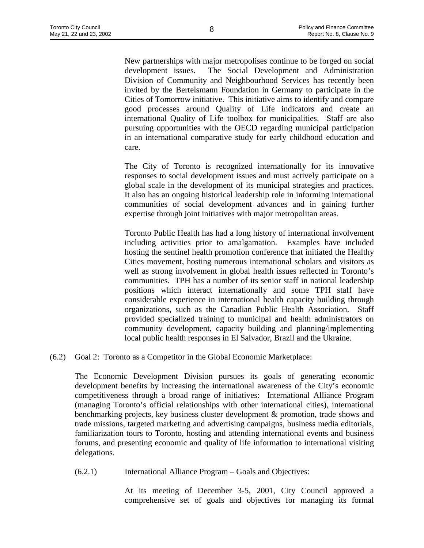New partnerships with major metropolises continue to be forged on social development issues. The Social Development and Administration Division of Community and Neighbourhood Services has recently been invited by the Bertelsmann Foundation in Germany to participate in the Cities of Tomorrow initiative. This initiative aims to identify and compare good processes around Quality of Life indicators and create an international Quality of Life toolbox for municipalities. Staff are also pursuing opportunities with the OECD regarding municipal participation in an international comparative study for early childhood education and care.

The City of Toronto is recognized internationally for its innovative responses to social development issues and must actively participate on a global scale in the development of its municipal strategies and practices. It also has an ongoing historical leadership role in informing international communities of social development advances and in gaining further expertise through joint initiatives with major metropolitan areas.

Toronto Public Health has had a long history of international involvement including activities prior to amalgamation. Examples have included hosting the sentinel health promotion conference that initiated the Healthy Cities movement, hosting numerous international scholars and visitors as well as strong involvement in global health issues reflected in Toronto's communities. TPH has a number of its senior staff in national leadership positions which interact internationally and some TPH staff have considerable experience in international health capacity building through organizations, such as the Canadian Public Health Association. Staff provided specialized training to municipal and health administrators on community development, capacity building and planning/implementing local public health responses in El Salvador, Brazil and the Ukraine.

(6.2) Goal 2: Toronto as a Competitor in the Global Economic Marketplace:

The Economic Development Division pursues its goals of generating economic development benefits by increasing the international awareness of the City's economic competitiveness through a broad range of initiatives: International Alliance Program (managing Toronto's official relationships with other international cities), international benchmarking projects, key business cluster development & promotion, trade shows and trade missions, targeted marketing and advertising campaigns, business media editorials, familiarization tours to Toronto, hosting and attending international events and business forums, and presenting economic and quality of life information to international visiting delegations.

(6.2.1) International Alliance Program – Goals and Objectives:

At its meeting of December 3-5, 2001, City Council approved a comprehensive set of goals and objectives for managing its formal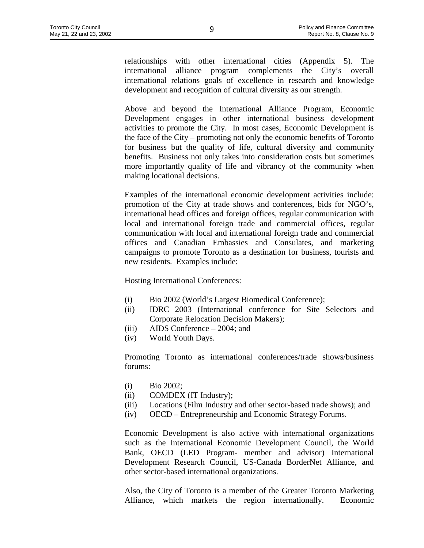relationships with other international cities (Appendix 5). The international alliance program complements the City's overall international relations goals of excellence in research and knowledge development and recognition of cultural diversity as our strength.

Above and beyond the International Alliance Program, Economic Development engages in other international business development activities to promote the City. In most cases, Economic Development is the face of the City – promoting not only the economic benefits of Toronto for business but the quality of life, cultural diversity and community benefits. Business not only takes into consideration costs but sometimes more importantly quality of life and vibrancy of the community when making locational decisions.

Examples of the international economic development activities include: promotion of the City at trade shows and conferences, bids for NGO's, international head offices and foreign offices, regular communication with local and international foreign trade and commercial offices, regular communication with local and international foreign trade and commercial offices and Canadian Embassies and Consulates, and marketing campaigns to promote Toronto as a destination for business, tourists and new residents. Examples include:

Hosting International Conferences:

- (i) Bio 2002 (World's Largest Biomedical Conference);
- (ii) IDRC 2003 (International conference for Site Selectors and Corporate Relocation Decision Makers);
- (iii) AIDS Conference 2004; and
- (iv) World Youth Days.

Promoting Toronto as international conferences/trade shows/business forums:

- (i) Bio 2002;
- (ii) COMDEX (IT Industry);
- (iii) Locations (Film Industry and other sector-based trade shows); and
- (iv) OECD Entrepreneurship and Economic Strategy Forums.

Economic Development is also active with international organizations such as the International Economic Development Council, the World Bank, OECD (LED Program- member and advisor) International Development Research Council, US-Canada BorderNet Alliance, and other sector-based international organizations.

Also, the City of Toronto is a member of the Greater Toronto Marketing Alliance, which markets the region internationally. Economic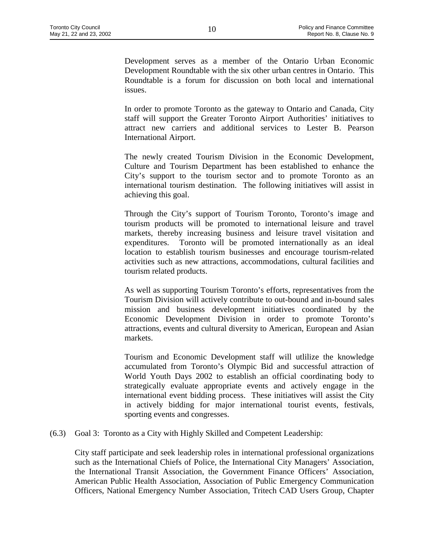Development serves as a member of the Ontario Urban Economic Development Roundtable with the six other urban centres in Ontario. This Roundtable is a forum for discussion on both local and international issues.

In order to promote Toronto as the gateway to Ontario and Canada, City staff will support the Greater Toronto Airport Authorities' initiatives to attract new carriers and additional services to Lester B. Pearson International Airport.

The newly created Tourism Division in the Economic Development, Culture and Tourism Department has been established to enhance the City's support to the tourism sector and to promote Toronto as an international tourism destination. The following initiatives will assist in achieving this goal.

Through the City's support of Tourism Toronto, Toronto's image and tourism products will be promoted to international leisure and travel markets, thereby increasing business and leisure travel visitation and expenditures. Toronto will be promoted internationally as an ideal location to establish tourism businesses and encourage tourism-related activities such as new attractions, accommodations, cultural facilities and tourism related products.

As well as supporting Tourism Toronto's efforts, representatives from the Tourism Division will actively contribute to out-bound and in-bound sales mission and business development initiatives coordinated by the Economic Development Division in order to promote Toronto's attractions, events and cultural diversity to American, European and Asian markets.

Tourism and Economic Development staff will utlilize the knowledge accumulated from Toronto's Olympic Bid and successful attraction of World Youth Days 2002 to establish an official coordinating body to strategically evaluate appropriate events and actively engage in the international event bidding process. These initiatives will assist the City in actively bidding for major international tourist events, festivals, sporting events and congresses.

(6.3) Goal 3: Toronto as a City with Highly Skilled and Competent Leadership:

City staff participate and seek leadership roles in international professional organizations such as the International Chiefs of Police, the International City Managers' Association, the International Transit Association, the Government Finance Officers' Association, American Public Health Association, Association of Public Emergency Communication Officers, National Emergency Number Association, Tritech CAD Users Group, Chapter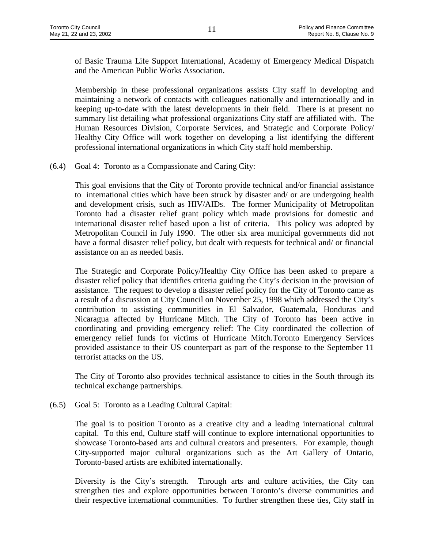of Basic Trauma Life Support International, Academy of Emergency Medical Dispatch and the American Public Works Association.

Membership in these professional organizations assists City staff in developing and maintaining a network of contacts with colleagues nationally and internationally and in keeping up-to-date with the latest developments in their field. There is at present no summary list detailing what professional organizations City staff are affiliated with. The Human Resources Division, Corporate Services, and Strategic and Corporate Policy/ Healthy City Office will work together on developing a list identifying the different professional international organizations in which City staff hold membership.

(6.4) Goal 4: Toronto as a Compassionate and Caring City:

This goal envisions that the City of Toronto provide technical and/or financial assistance to international cities which have been struck by disaster and/ or are undergoing health and development crisis, such as HIV/AIDs. The former Municipality of Metropolitan Toronto had a disaster relief grant policy which made provisions for domestic and international disaster relief based upon a list of criteria. This policy was adopted by Metropolitan Council in July 1990. The other six area municipal governments did not have a formal disaster relief policy, but dealt with requests for technical and/ or financial assistance on an as needed basis.

The Strategic and Corporate Policy/Healthy City Office has been asked to prepare a disaster relief policy that identifies criteria guiding the City's decision in the provision of assistance. The request to develop a disaster relief policy for the City of Toronto came as a result of a discussion at City Council on November 25, 1998 which addressed the City's contribution to assisting communities in El Salvador, Guatemala, Honduras and Nicaragua affected by Hurricane Mitch. The City of Toronto has been active in coordinating and providing emergency relief: The City coordinated the collection of emergency relief funds for victims of Hurricane Mitch.Toronto Emergency Services provided assistance to their US counterpart as part of the response to the September 11 terrorist attacks on the US.

The City of Toronto also provides technical assistance to cities in the South through its technical exchange partnerships.

(6.5) Goal 5: Toronto as a Leading Cultural Capital:

The goal is to position Toronto as a creative city and a leading international cultural capital. To this end, Culture staff will continue to explore international opportunities to showcase Toronto-based arts and cultural creators and presenters. For example, though City-supported major cultural organizations such as the Art Gallery of Ontario, Toronto-based artists are exhibited internationally.

Diversity is the City's strength. Through arts and culture activities, the City can strengthen ties and explore opportunities between Toronto's diverse communities and their respective international communities. To further strengthen these ties, City staff in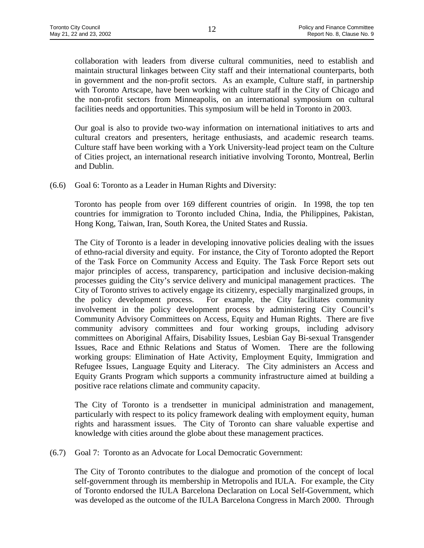collaboration with leaders from diverse cultural communities, need to establish and maintain structural linkages between City staff and their international counterparts, both in government and the non-profit sectors. As an example, Culture staff, in partnership with Toronto Artscape, have been working with culture staff in the City of Chicago and the non-profit sectors from Minneapolis, on an international symposium on cultural facilities needs and opportunities. This symposium will be held in Toronto in 2003.

Our goal is also to provide two-way information on international initiatives to arts and cultural creators and presenters, heritage enthusiasts, and academic research teams. Culture staff have been working with a York University-lead project team on the Culture of Cities project, an international research initiative involving Toronto, Montreal, Berlin and Dublin.

(6.6) Goal 6: Toronto as a Leader in Human Rights and Diversity:

Toronto has people from over 169 different countries of origin. In 1998, the top ten countries for immigration to Toronto included China, India, the Philippines, Pakistan, Hong Kong, Taiwan, Iran, South Korea, the United States and Russia.

The City of Toronto is a leader in developing innovative policies dealing with the issues of ethno-racial diversity and equity. For instance, the City of Toronto adopted the Report of the Task Force on Community Access and Equity. The Task Force Report sets out major principles of access, transparency, participation and inclusive decision-making processes guiding the City's service delivery and municipal management practices. The City of Toronto strives to actively engage its citizenry, especially marginalized groups, in the policy development process. For example, the City facilitates community involvement in the policy development process by administering City Council's Community Advisory Committees on Access, Equity and Human Rights. There are five community advisory committees and four working groups, including advisory committees on Aboriginal Affairs, Disability Issues, Lesbian Gay Bi-sexual Transgender Issues, Race and Ethnic Relations and Status of Women. There are the following working groups: Elimination of Hate Activity, Employment Equity, Immigration and Refugee Issues, Language Equity and Literacy. The City administers an Access and Equity Grants Program which supports a community infrastructure aimed at building a positive race relations climate and community capacity.

The City of Toronto is a trendsetter in municipal administration and management, particularly with respect to its policy framework dealing with employment equity, human rights and harassment issues. The City of Toronto can share valuable expertise and knowledge with cities around the globe about these management practices.

(6.7) Goal 7: Toronto as an Advocate for Local Democratic Government:

The City of Toronto contributes to the dialogue and promotion of the concept of local self-government through its membership in Metropolis and IULA. For example, the City of Toronto endorsed the IULA Barcelona Declaration on Local Self-Government, which was developed as the outcome of the IULA Barcelona Congress in March 2000. Through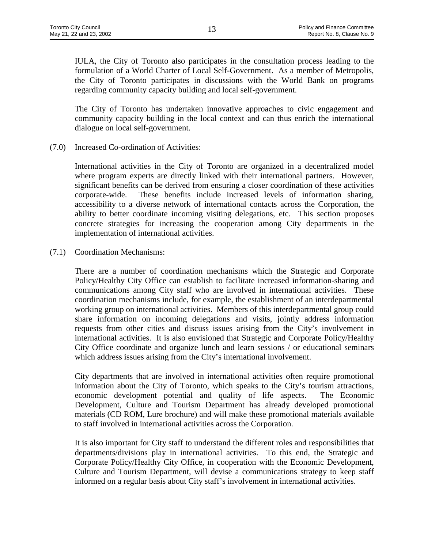IULA, the City of Toronto also participates in the consultation process leading to the formulation of a World Charter of Local Self-Government. As a member of Metropolis, the City of Toronto participates in discussions with the World Bank on programs regarding community capacity building and local self-government.

The City of Toronto has undertaken innovative approaches to civic engagement and community capacity building in the local context and can thus enrich the international dialogue on local self-government.

(7.0) Increased Co-ordination of Activities:

International activities in the City of Toronto are organized in a decentralized model where program experts are directly linked with their international partners. However, significant benefits can be derived from ensuring a closer coordination of these activities corporate-wide. These benefits include increased levels of information sharing, accessibility to a diverse network of international contacts across the Corporation, the ability to better coordinate incoming visiting delegations, etc. This section proposes concrete strategies for increasing the cooperation among City departments in the implementation of international activities.

(7.1) Coordination Mechanisms:

There are a number of coordination mechanisms which the Strategic and Corporate Policy/Healthy City Office can establish to facilitate increased information-sharing and communications among City staff who are involved in international activities. These coordination mechanisms include, for example, the establishment of an interdepartmental working group on international activities. Members of this interdepartmental group could share information on incoming delegations and visits, jointly address information requests from other cities and discuss issues arising from the City's involvement in international activities. It is also envisioned that Strategic and Corporate Policy/Healthy City Office coordinate and organize lunch and learn sessions / or educational seminars which address issues arising from the City's international involvement.

City departments that are involved in international activities often require promotional information about the City of Toronto, which speaks to the City's tourism attractions, economic development potential and quality of life aspects. The Economic Development, Culture and Tourism Department has already developed promotional materials (CD ROM, Lure brochure) and will make these promotional materials available to staff involved in international activities across the Corporation.

It is also important for City staff to understand the different roles and responsibilities that departments/divisions play in international activities. To this end, the Strategic and Corporate Policy/Healthy City Office, in cooperation with the Economic Development, Culture and Tourism Department, will devise a communications strategy to keep staff informed on a regular basis about City staff's involvement in international activities.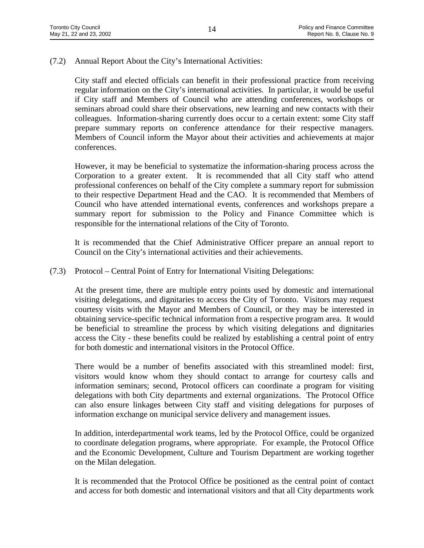(7.2) Annual Report About the City's International Activities:

City staff and elected officials can benefit in their professional practice from receiving regular information on the City's international activities. In particular, it would be useful if City staff and Members of Council who are attending conferences, workshops or seminars abroad could share their observations, new learning and new contacts with their colleagues. Information-sharing currently does occur to a certain extent: some City staff prepare summary reports on conference attendance for their respective managers. Members of Council inform the Mayor about their activities and achievements at major conferences.

However, it may be beneficial to systematize the information-sharing process across the Corporation to a greater extent. It is recommended that all City staff who attend professional conferences on behalf of the City complete a summary report for submission to their respective Department Head and the CAO. It is recommended that Members of Council who have attended international events, conferences and workshops prepare a summary report for submission to the Policy and Finance Committee which is responsible for the international relations of the City of Toronto.

It is recommended that the Chief Administrative Officer prepare an annual report to Council on the City's international activities and their achievements.

(7.3) Protocol – Central Point of Entry for International Visiting Delegations:

At the present time, there are multiple entry points used by domestic and international visiting delegations, and dignitaries to access the City of Toronto. Visitors may request courtesy visits with the Mayor and Members of Council, or they may be interested in obtaining service-specific technical information from a respective program area. It would be beneficial to streamline the process by which visiting delegations and dignitaries access the City - these benefits could be realized by establishing a central point of entry for both domestic and international visitors in the Protocol Office.

There would be a number of benefits associated with this streamlined model: first, visitors would know whom they should contact to arrange for courtesy calls and information seminars; second, Protocol officers can coordinate a program for visiting delegations with both City departments and external organizations. The Protocol Office can also ensure linkages between City staff and visiting delegations for purposes of information exchange on municipal service delivery and management issues.

In addition, interdepartmental work teams, led by the Protocol Office, could be organized to coordinate delegation programs, where appropriate. For example, the Protocol Office and the Economic Development, Culture and Tourism Department are working together on the Milan delegation.

It is recommended that the Protocol Office be positioned as the central point of contact and access for both domestic and international visitors and that all City departments work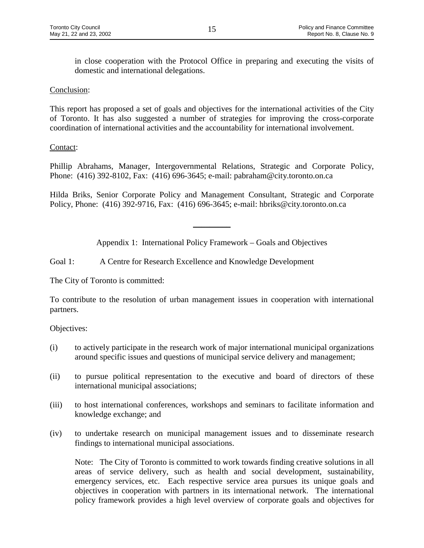in close cooperation with the Protocol Office in preparing and executing the visits of domestic and international delegations.

#### Conclusion:

This report has proposed a set of goals and objectives for the international activities of the City of Toronto. It has also suggested a number of strategies for improving the cross-corporate coordination of international activities and the accountability for international involvement.

# Contact:

Phillip Abrahams, Manager, Intergovernmental Relations, Strategic and Corporate Policy, Phone: (416) 392-8102, Fax: (416) 696-3645; e-mail: pabraham@city.toronto.on.ca

Hilda Briks, Senior Corporate Policy and Management Consultant, Strategic and Corporate Policy, Phone: (416) 392-9716, Fax: (416) 696-3645; e-mail: hbriks@city.toronto.on.ca

Appendix 1: International Policy Framework – Goals and Objectives

 $\frac{1}{2}$ 

Goal 1: A Centre for Research Excellence and Knowledge Development

The City of Toronto is committed:

To contribute to the resolution of urban management issues in cooperation with international partners.

Objectives:

- (i) to actively participate in the research work of major international municipal organizations around specific issues and questions of municipal service delivery and management;
- (ii) to pursue political representation to the executive and board of directors of these international municipal associations;
- (iii) to host international conferences, workshops and seminars to facilitate information and knowledge exchange; and
- (iv) to undertake research on municipal management issues and to disseminate research findings to international municipal associations.

Note: The City of Toronto is committed to work towards finding creative solutions in all areas of service delivery, such as health and social development, sustainability, emergency services, etc. Each respective service area pursues its unique goals and objectives in cooperation with partners in its international network. The international policy framework provides a high level overview of corporate goals and objectives for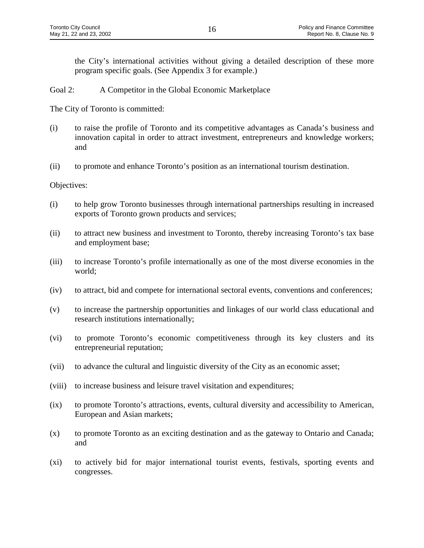the City's international activities without giving a detailed description of these more program specific goals. (See Appendix 3 for example.)

Goal 2: A Competitor in the Global Economic Marketplace

The City of Toronto is committed:

- (i) to raise the profile of Toronto and its competitive advantages as Canada's business and innovation capital in order to attract investment, entrepreneurs and knowledge workers; and
- (ii) to promote and enhance Toronto's position as an international tourism destination.

- (i) to help grow Toronto businesses through international partnerships resulting in increased exports of Toronto grown products and services;
- (ii) to attract new business and investment to Toronto, thereby increasing Toronto's tax base and employment base;
- (iii) to increase Toronto's profile internationally as one of the most diverse economies in the world;
- (iv) to attract, bid and compete for international sectoral events, conventions and conferences;
- (v) to increase the partnership opportunities and linkages of our world class educational and research institutions internationally;
- (vi) to promote Toronto's economic competitiveness through its key clusters and its entrepreneurial reputation;
- (vii) to advance the cultural and linguistic diversity of the City as an economic asset;
- (viii) to increase business and leisure travel visitation and expenditures;
- (ix) to promote Toronto's attractions, events, cultural diversity and accessibility to American, European and Asian markets;
- (x) to promote Toronto as an exciting destination and as the gateway to Ontario and Canada; and
- (xi) to actively bid for major international tourist events, festivals, sporting events and congresses.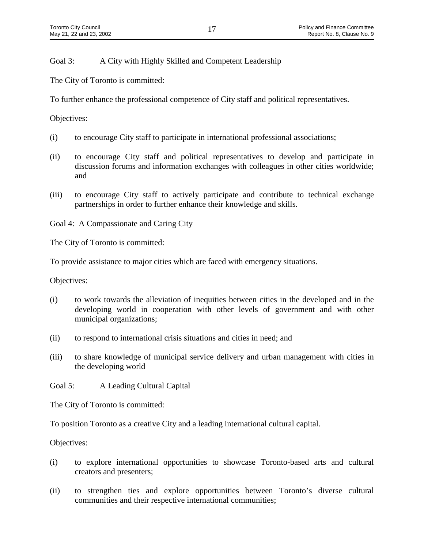Goal 3: A City with Highly Skilled and Competent Leadership

The City of Toronto is committed:

To further enhance the professional competence of City staff and political representatives.

Objectives:

- (i) to encourage City staff to participate in international professional associations;
- (ii) to encourage City staff and political representatives to develop and participate in discussion forums and information exchanges with colleagues in other cities worldwide; and
- (iii) to encourage City staff to actively participate and contribute to technical exchange partnerships in order to further enhance their knowledge and skills.

Goal 4: A Compassionate and Caring City

The City of Toronto is committed:

To provide assistance to major cities which are faced with emergency situations.

Objectives:

- (i) to work towards the alleviation of inequities between cities in the developed and in the developing world in cooperation with other levels of government and with other municipal organizations;
- (ii) to respond to international crisis situations and cities in need; and
- (iii) to share knowledge of municipal service delivery and urban management with cities in the developing world

Goal 5: A Leading Cultural Capital

The City of Toronto is committed:

To position Toronto as a creative City and a leading international cultural capital.

- (i) to explore international opportunities to showcase Toronto-based arts and cultural creators and presenters;
- (ii) to strengthen ties and explore opportunities between Toronto's diverse cultural communities and their respective international communities;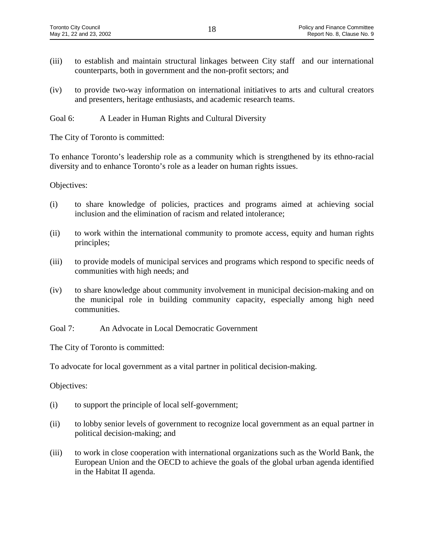- (iii) to establish and maintain structural linkages between City staff and our international counterparts, both in government and the non-profit sectors; and
- (iv) to provide two-way information on international initiatives to arts and cultural creators and presenters, heritage enthusiasts, and academic research teams.
- Goal 6: A Leader in Human Rights and Cultural Diversity

The City of Toronto is committed:

To enhance Toronto's leadership role as a community which is strengthened by its ethno-racial diversity and to enhance Toronto's role as a leader on human rights issues.

Objectives:

- (i) to share knowledge of policies, practices and programs aimed at achieving social inclusion and the elimination of racism and related intolerance;
- (ii) to work within the international community to promote access, equity and human rights principles;
- (iii) to provide models of municipal services and programs which respond to specific needs of communities with high needs; and
- (iv) to share knowledge about community involvement in municipal decision-making and on the municipal role in building community capacity, especially among high need communities.

Goal 7: An Advocate in Local Democratic Government

The City of Toronto is committed:

To advocate for local government as a vital partner in political decision-making.

- (i) to support the principle of local self-government;
- (ii) to lobby senior levels of government to recognize local government as an equal partner in political decision-making; and
- (iii) to work in close cooperation with international organizations such as the World Bank, the European Union and the OECD to achieve the goals of the global urban agenda identified in the Habitat II agenda.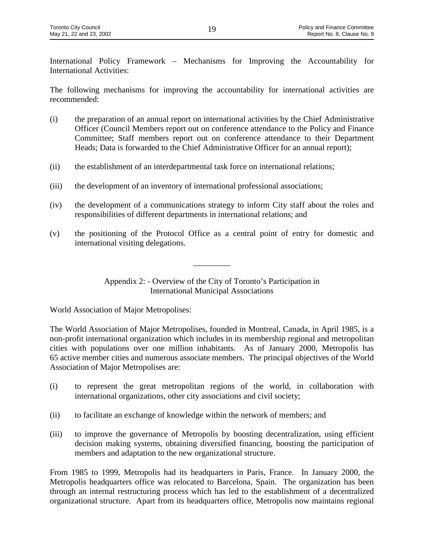International Policy Framework – Mechanisms for Improving the Accountability for International Activities:

The following mechanisms for improving the accountability for international activities are recommended:

- (i) the preparation of an annual report on international activities by the Chief Administrative Officer (Council Members report out on conference attendance to the Policy and Finance Committee; Staff members report out on conference attendance to their Department Heads; Data is forwarded to the Chief Administrative Officer for an annual report);
- (ii) the establishment of an interdepartmental task force on international relations;
- (iii) the development of an inventory of international professional associations;
- (iv) the development of a communications strategy to inform City staff about the roles and responsibilities of different departments in international relations; and
- (v) the positioning of the Protocol Office as a central point of entry for domestic and international visiting delegations.

Appendix 2: - Overview of the City of Toronto's Participation in International Municipal Associations

\_\_\_\_\_\_\_\_\_

World Association of Major Metropolises:

The World Association of Major Metropolises, founded in Montreal, Canada, in April 1985, is a non-profit international organization which includes in its membership regional and metropolitan cities with populations over one million inhabitants. As of January 2000, Metropolis has 65 active member cities and numerous associate members. The principal objectives of the World Association of Major Metropolises are:

- (i) to represent the great metropolitan regions of the world, in collaboration with international organizations, other city associations and civil society;
- (ii) to facilitate an exchange of knowledge within the network of members; and
- (iii) to improve the governance of Metropolis by boosting decentralization, using efficient decision making systems, obtaining diversified financing, boosting the participation of members and adaptation to the new organizational structure.

From 1985 to 1999, Metropolis had its headquarters in Paris, France. In January 2000, the Metropolis headquarters office was relocated to Barcelona, Spain. The organization has been through an internal restructuring process which has led to the establishment of a decentralized organizational structure. Apart from its headquarters office, Metropolis now maintains regional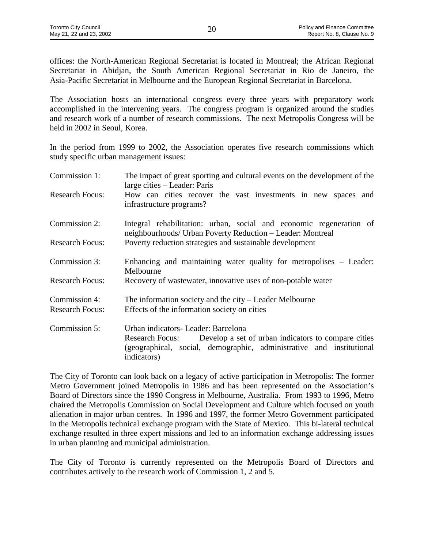offices: the North-American Regional Secretariat is located in Montreal; the African Regional Secretariat in Abidjan, the South American Regional Secretariat in Rio de Janeiro, the Asia-Pacific Secretariat in Melbourne and the European Regional Secretariat in Barcelona.

The Association hosts an international congress every three years with preparatory work accomplished in the intervening years. The congress program is organized around the studies and research work of a number of research commissions. The next Metropolis Congress will be held in 2002 in Seoul, Korea.

In the period from 1999 to 2002, the Association operates five research commissions which study specific urban management issues:

| Commission 1:                           | The impact of great sporting and cultural events on the development of the<br>large cities – Leader: Paris                                                                                                  |
|-----------------------------------------|-------------------------------------------------------------------------------------------------------------------------------------------------------------------------------------------------------------|
| <b>Research Focus:</b>                  | How can cities recover the vast investments in new spaces and<br>infrastructure programs?                                                                                                                   |
| Commission 2:                           | Integral rehabilitation: urban, social and economic regeneration of<br>neighbourhoods/ Urban Poverty Reduction - Leader: Montreal                                                                           |
| <b>Research Focus:</b>                  | Poverty reduction strategies and sustainable development                                                                                                                                                    |
| Commission 3:                           | Enhancing and maintaining water quality for metropolises – Leader:<br>Melbourne                                                                                                                             |
| <b>Research Focus:</b>                  | Recovery of wastewater, innovative uses of non-potable water                                                                                                                                                |
| Commission 4:<br><b>Research Focus:</b> | The information society and the city - Leader Melbourne<br>Effects of the information society on cities                                                                                                     |
|                                         |                                                                                                                                                                                                             |
| Commission 5:                           | Urban indicators- Leader: Barcelona<br>Develop a set of urban indicators to compare cities<br><b>Research Focus:</b><br>(geographical, social, demographic, administrative and institutional<br>indicators) |

The City of Toronto can look back on a legacy of active participation in Metropolis: The former Metro Government joined Metropolis in 1986 and has been represented on the Association's Board of Directors since the 1990 Congress in Melbourne, Australia. From 1993 to 1996, Metro chaired the Metropolis Commission on Social Development and Culture which focused on youth alienation in major urban centres. In 1996 and 1997, the former Metro Government participated in the Metropolis technical exchange program with the State of Mexico. This bi-lateral technical exchange resulted in three expert missions and led to an information exchange addressing issues in urban planning and municipal administration.

The City of Toronto is currently represented on the Metropolis Board of Directors and contributes actively to the research work of Commission 1, 2 and 5.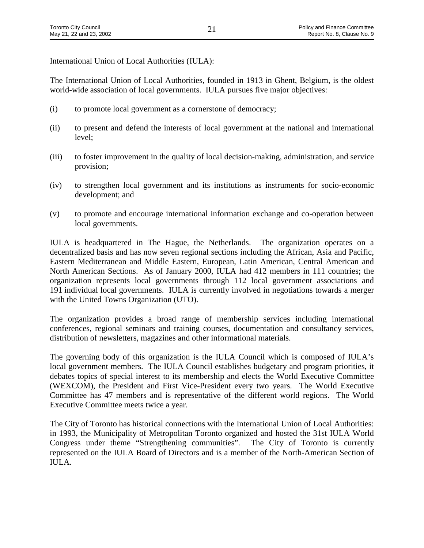International Union of Local Authorities (IULA):

The International Union of Local Authorities, founded in 1913 in Ghent, Belgium, is the oldest world-wide association of local governments. IULA pursues five major objectives:

- (i) to promote local government as a cornerstone of democracy;
- (ii) to present and defend the interests of local government at the national and international level;
- (iii) to foster improvement in the quality of local decision-making, administration, and service provision;
- (iv) to strengthen local government and its institutions as instruments for socio-economic development; and
- (v) to promote and encourage international information exchange and co-operation between local governments.

IULA is headquartered in The Hague, the Netherlands. The organization operates on a decentralized basis and has now seven regional sections including the African, Asia and Pacific, Eastern Mediterranean and Middle Eastern, European, Latin American, Central American and North American Sections. As of January 2000, IULA had 412 members in 111 countries; the organization represents local governments through 112 local government associations and 191 individual local governments. IULA is currently involved in negotiations towards a merger with the United Towns Organization (UTO).

The organization provides a broad range of membership services including international conferences, regional seminars and training courses, documentation and consultancy services, distribution of newsletters, magazines and other informational materials.

The governing body of this organization is the IULA Council which is composed of IULA's local government members. The IULA Council establishes budgetary and program priorities, it debates topics of special interest to its membership and elects the World Executive Committee (WEXCOM), the President and First Vice-President every two years. The World Executive Committee has 47 members and is representative of the different world regions. The World Executive Committee meets twice a year.

The City of Toronto has historical connections with the International Union of Local Authorities: in 1993, the Municipality of Metropolitan Toronto organized and hosted the 31st IULA World Congress under theme "Strengthening communities". The City of Toronto is currently represented on the IULA Board of Directors and is a member of the North-American Section of IULA.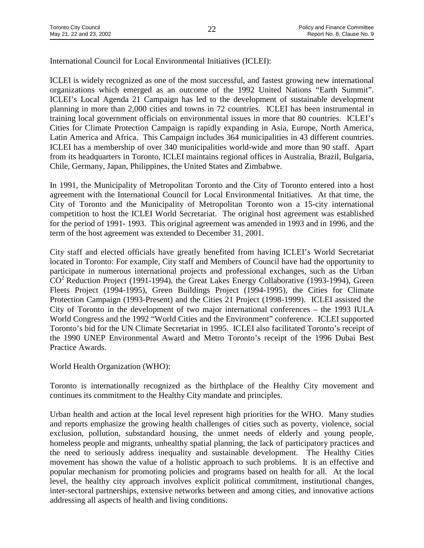International Council for Local Environmental Initiatives (ICLEI):

ICLEI is widely recognized as one of the most successful, and fastest growing new international organizations which emerged as an outcome of the 1992 United Nations "Earth Summit". ICLEI's Local Agenda 21 Campaign has led to the development of sustainable development planning in more than 2,000 cities and towns in 72 countries. ICLEI has been instrumental in training local government officials on environmental issues in more that 80 countries. ICLEI's Cities for Climate Protection Campaign is rapidly expanding in Asia, Europe, North America, Latin America and Africa. This Campaign includes 364 municipalities in 43 different countries. ICLEI has a membership of over 340 municipalities world-wide and more than 90 staff. Apart from its headquarters in Toronto, ICLEI maintains regional offices in Australia, Brazil, Bulgaria, Chile, Germany, Japan, Philippines, the United States and Zimbabwe.

In 1991, the Municipality of Metropolitan Toronto and the City of Toronto entered into a host agreement with the International Council for Local Environmental Initiatives. At that time, the City of Toronto and the Municipality of Metropolitan Toronto won a 15-city international competition to host the ICLEI World Secretariat. The original host agreement was established for the period of 1991- 1993. This original agreement was amended in 1993 and in 1996, and the term of the host agreement was extended to December 31, 2001.

City staff and elected officials have greatly benefited from having ICLEI's World Secretariat located in Toronto: For example, City staff and Members of Council have had the opportunity to participate in numerous international projects and professional exchanges, such as the Urban CO<sup>2</sup> Reduction Project (1991-1994), the Great Lakes Energy Collaborative (1993-1994), Green Fleets Project (1994-1995), Green Buildings Project (1994-1995), the Cities for Climate Protection Campaign (1993-Present) and the Cities 21 Project (1998-1999). ICLEI assisted the City of Toronto in the development of two major international conferences – the 1993 IULA World Congress and the 1992 "World Cities and the Environment" conference. ICLEI supported Toronto's bid for the UN Climate Secretariat in 1995. ICLEI also facilitated Toronto's receipt of the 1990 UNEP Environmental Award and Metro Toronto's receipt of the 1996 Dubai Best Practice Awards.

World Health Organization (WHO):

Toronto is internationally recognized as the birthplace of the Healthy City movement and continues its commitment to the Healthy City mandate and principles.

Urban health and action at the local level represent high priorities for the WHO. Many studies and reports emphasize the growing health challenges of cities such as poverty, violence, social exclusion, pollution, substandard housing, the unmet needs of elderly and young people, homeless people and migrants, unhealthy spatial planning, the lack of participatory practices and the need to seriously address inequality and sustainable development. The Healthy Cities movement has shown the value of a holistic approach to such problems. It is an effective and popular mechanism for promoting policies and programs based on health for all. At the local level, the healthy city approach involves explicit political commitment, institutional changes, inter-sectoral partnerships, extensive networks between and among cities, and innovative actions addressing all aspects of health and living conditions.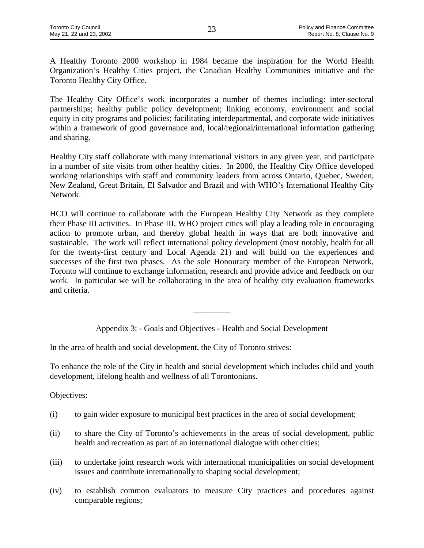A Healthy Toronto 2000 workshop in 1984 became the inspiration for the World Health Organization's Healthy Cities project, the Canadian Healthy Communities initiative and the Toronto Healthy City Office.

The Healthy City Office's work incorporates a number of themes including: inter-sectoral partnerships; healthy public policy development; linking economy, environment and social equity in city programs and policies; facilitating interdepartmental, and corporate wide initiatives within a framework of good governance and, local/regional/international information gathering and sharing.

Healthy City staff collaborate with many international visitors in any given year, and participate in a number of site visits from other healthy cities. In 2000, the Healthy City Office developed working relationships with staff and community leaders from across Ontario, Quebec, Sweden, New Zealand, Great Britain, El Salvador and Brazil and with WHO's International Healthy City Network.

HCO will continue to collaborate with the European Healthy City Network as they complete their Phase III activities. In Phase III, WHO project cities will play a leading role in encouraging action to promote urban, and thereby global health in ways that are both innovative and sustainable. The work will reflect international policy development (most notably, health for all for the twenty-first century and Local Agenda 21) and will build on the experiences and successes of the first two phases. As the sole Honourary member of the European Network, Toronto will continue to exchange information, research and provide advice and feedback on our work. In particular we will be collaborating in the area of healthy city evaluation frameworks and criteria.

Appendix 3: - Goals and Objectives - Health and Social Development

 $\overline{\phantom{a}}$ 

In the area of health and social development, the City of Toronto strives:

To enhance the role of the City in health and social development which includes child and youth development, lifelong health and wellness of all Torontonians.

- (i) to gain wider exposure to municipal best practices in the area of social development;
- (ii) to share the City of Toronto's achievements in the areas of social development, public health and recreation as part of an international dialogue with other cities;
- (iii) to undertake joint research work with international municipalities on social development issues and contribute internationally to shaping social development;
- (iv) to establish common evaluators to measure City practices and procedures against comparable regions;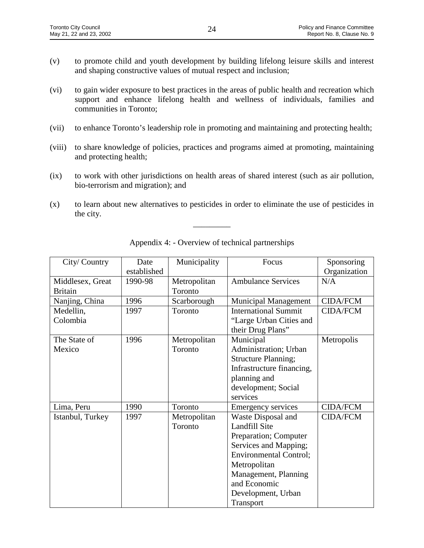- (v) to promote child and youth development by building lifelong leisure skills and interest and shaping constructive values of mutual respect and inclusion;
- (vi) to gain wider exposure to best practices in the areas of public health and recreation which support and enhance lifelong health and wellness of individuals, families and communities in Toronto;
- (vii) to enhance Toronto's leadership role in promoting and maintaining and protecting health;
- (viii) to share knowledge of policies, practices and programs aimed at promoting, maintaining and protecting health;
- (ix) to work with other jurisdictions on health areas of shared interest (such as air pollution, bio-terrorism and migration); and
- (x) to learn about new alternatives to pesticides in order to eliminate the use of pesticides in the city.

 $\overline{\phantom{a}}$ 

| City/Country     | Date        | Municipality | Focus                         | Sponsoring      |
|------------------|-------------|--------------|-------------------------------|-----------------|
|                  | established |              |                               | Organization    |
| Middlesex, Great | 1990-98     | Metropolitan | <b>Ambulance Services</b>     | N/A             |
| <b>Britain</b>   |             | Toronto      |                               |                 |
| Nanjing, China   | 1996        | Scarborough  | <b>Municipal Management</b>   | <b>CIDA/FCM</b> |
| Medellin,        | 1997        | Toronto      | <b>International Summit</b>   | <b>CIDA/FCM</b> |
| Colombia         |             |              | "Large Urban Cities and       |                 |
|                  |             |              | their Drug Plans"             |                 |
| The State of     | 1996        | Metropolitan | Municipal                     | Metropolis      |
| Mexico           |             | Toronto      | Administration; Urban         |                 |
|                  |             |              | <b>Structure Planning;</b>    |                 |
|                  |             |              | Infrastructure financing,     |                 |
|                  |             |              | planning and                  |                 |
|                  |             |              | development; Social           |                 |
|                  |             |              | services                      |                 |
| Lima, Peru       | 1990        | Toronto      | <b>Emergency services</b>     | <b>CIDA/FCM</b> |
| Istanbul, Turkey | 1997        | Metropolitan | Waste Disposal and            | <b>CIDA/FCM</b> |
|                  |             | Toronto      | Landfill Site                 |                 |
|                  |             |              | Preparation; Computer         |                 |
|                  |             |              | Services and Mapping;         |                 |
|                  |             |              | <b>Environmental Control;</b> |                 |
|                  |             |              | Metropolitan                  |                 |
|                  |             |              | Management, Planning          |                 |
|                  |             |              | and Economic                  |                 |
|                  |             |              | Development, Urban            |                 |
|                  |             |              | Transport                     |                 |

Appendix 4: - Overview of technical partnerships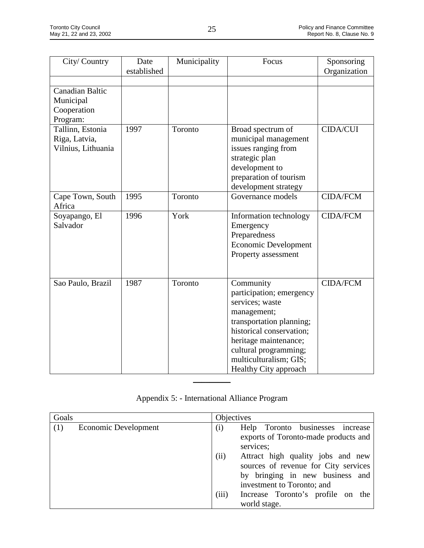| City/Country                                                   | Date<br>established | Municipality | Focus                                                                                                                                                                                                                                | Sponsoring<br>Organization |
|----------------------------------------------------------------|---------------------|--------------|--------------------------------------------------------------------------------------------------------------------------------------------------------------------------------------------------------------------------------------|----------------------------|
| <b>Canadian Baltic</b><br>Municipal<br>Cooperation<br>Program: |                     |              |                                                                                                                                                                                                                                      |                            |
| Tallinn, Estonia<br>Riga, Latvia,<br>Vilnius, Lithuania        | 1997                | Toronto      | Broad spectrum of<br>municipal management<br>issues ranging from<br>strategic plan<br>development to<br>preparation of tourism<br>development strategy                                                                               | <b>CIDA/CUI</b>            |
| Cape Town, South<br>Africa                                     | 1995                | Toronto      | Governance models                                                                                                                                                                                                                    | <b>CIDA/FCM</b>            |
| Soyapango, El<br>Salvador                                      | 1996                | York         | Information technology<br>Emergency<br>Preparedness<br>Economic Development<br>Property assessment                                                                                                                                   | <b>CIDA/FCM</b>            |
| Sao Paulo, Brazil                                              | 1987                | Toronto      | Community<br>participation; emergency<br>services; waste<br>management;<br>transportation planning;<br>historical conservation;<br>heritage maintenance;<br>cultural programming;<br>multiculturalism; GIS;<br>Healthy City approach | <b>CIDA/FCM</b>            |

| Appendix 5: - International Alliance Program |  |
|----------------------------------------------|--|
|----------------------------------------------|--|

 $\frac{1}{2}$ 

| Goals |                      | Objectives |                                                                                                                                            |
|-------|----------------------|------------|--------------------------------------------------------------------------------------------------------------------------------------------|
| (1)   | Economic Development | (i)        | Help Toronto businesses<br>increase<br>exports of Toronto-made products and<br>services;                                                   |
|       |                      | (ii)       | Attract high quality jobs and new<br>sources of revenue for City services<br>by bringing in new business and<br>investment to Toronto; and |
|       |                      | (iii)      | Increase Toronto's profile on the<br>world stage.                                                                                          |